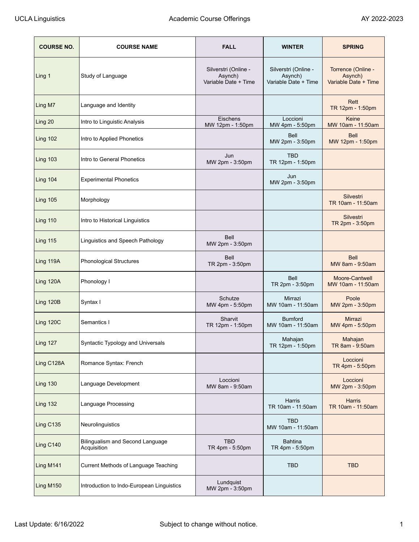| <b>COURSE NO.</b> | <b>COURSE NAME</b>                              | <b>FALL</b>                                             | <b>WINTER</b>                                           | <b>SPRING</b>                                         |
|-------------------|-------------------------------------------------|---------------------------------------------------------|---------------------------------------------------------|-------------------------------------------------------|
| Ling 1            | Study of Language                               | Silverstri (Online -<br>Asynch)<br>Variable Date + Time | Silverstri (Online -<br>Asynch)<br>Variable Date + Time | Torrence (Online -<br>Asynch)<br>Variable Date + Time |
| Ling M7           | Language and Identity                           |                                                         |                                                         | Rett<br>TR 12pm - 1:50pm                              |
| Ling 20           | Intro to Linguistic Analysis                    | Eischens<br>MW 12pm - 1:50pm                            | Loccioni<br>MW 4pm - 5:50pm                             | Keine<br>MW 10am - 11:50am                            |
| Ling 102          | Intro to Applied Phonetics                      |                                                         | Bell<br>MW 2pm - 3:50pm                                 | <b>Bell</b><br>MW 12pm - 1:50pm                       |
| Ling 103          | Intro to General Phonetics                      | Jun<br>MW 2pm - 3:50pm                                  | <b>TBD</b><br>TR 12pm - 1:50pm                          |                                                       |
| Ling 104          | <b>Experimental Phonetics</b>                   |                                                         | Jun<br>MW 2pm - 3:50pm                                  |                                                       |
| Ling 105          | Morphology                                      |                                                         |                                                         | Silvestri<br>TR 10am - 11:50am                        |
| Ling 110          | Intro to Historical Linguistics                 |                                                         |                                                         | Silvestri<br>TR 2pm - 3:50pm                          |
| Ling 115          | Linguistics and Speech Pathology                | <b>Bell</b><br>MW 2pm - 3:50pm                          |                                                         |                                                       |
| Ling 119A         | <b>Phonological Structures</b>                  | <b>Bell</b><br>TR 2pm - 3:50pm                          |                                                         | <b>Bell</b><br>MW 8am - 9:50am                        |
| Ling 120A         | Phonology I                                     |                                                         | <b>Bell</b><br>TR 2pm - 3:50pm                          | Moore-Cantwell<br>MW 10am - 11:50am                   |
| Ling 120B         | Syntax I                                        | Schutze<br>MW 4pm - 5:50pm                              | Mirrazi<br>MW 10am - 11:50am                            | Poole<br>MW 2pm - 3:50pm                              |
| Ling 120C         | Semantics I                                     | Sharvit<br>TR 12pm - 1:50pm                             | <b>Bumford</b><br>MW 10am - 11:50am                     | Mirrazi<br>MW 4pm - 5:50pm                            |
| Ling 127          | Syntactic Typology and Universals               |                                                         | Mahajan<br>TR 12pm - 1:50pm                             | Mahajan<br>TR 8am - 9:50am                            |
| Ling C128A        | Romance Syntax: French                          |                                                         |                                                         | Loccioni<br>TR 4pm - 5:50pm                           |
| Ling 130          | Language Development                            | Loccioni<br>MW 8am - 9:50am                             |                                                         | Loccioni<br>MW 2pm - 3:50pm                           |
| Ling 132          | Language Processing                             |                                                         | Harris<br>TR 10am - 11:50am                             | Harris<br>TR 10am - 11:50am                           |
| Ling C135         | Neurolinguistics                                |                                                         | <b>TBD</b><br>MW 10am - 11:50am                         |                                                       |
| Ling C140         | Bilingualism and Second Language<br>Acquisition | <b>TBD</b><br>TR 4pm - 5:50pm                           | <b>Bahtina</b><br>TR 4pm - 5:50pm                       |                                                       |
| Ling M141         | Current Methods of Language Teaching            |                                                         | <b>TBD</b>                                              | <b>TBD</b>                                            |
| Ling M150         | Introduction to Indo-European Linguistics       | Lundquist<br>MW 2pm - 3:50pm                            |                                                         |                                                       |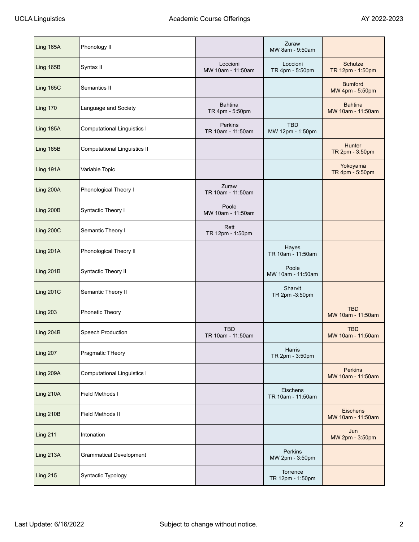| Ling 165A        | Phonology II                       |                                   | Zuraw<br>MW 8am - 9:50am       |                                      |
|------------------|------------------------------------|-----------------------------------|--------------------------------|--------------------------------------|
| Ling 165B        | Syntax II                          | Loccioni<br>MW 10am - 11:50am     | Loccioni<br>TR 4pm - 5:50pm    | Schutze<br>TR 12pm - 1:50pm          |
| Ling 165C        | Semantics II                       |                                   |                                | <b>Bumford</b><br>MW 4pm - 5:50pm    |
| <b>Ling 170</b>  | Language and Society               | <b>Bahtina</b><br>TR 4pm - 5:50pm |                                | <b>Bahtina</b><br>MW 10am - 11:50am  |
| Ling 185A        | <b>Computational Linguistics I</b> | Perkins<br>TR 10am - 11:50am      | <b>TBD</b><br>MW 12pm - 1:50pm |                                      |
| Ling 185B        | Computational Linguistics II       |                                   |                                | Hunter<br>TR 2pm - 3:50pm            |
| Ling 191A        | Variable Topic                     |                                   |                                | Yokoyama<br>TR 4pm - 5:50pm          |
| Ling 200A        | Phonological Theory I              | Zuraw<br>TR 10am - 11:50am        |                                |                                      |
| Ling 200B        | Syntactic Theory I                 | Poole<br>MW 10am - 11:50am        |                                |                                      |
| Ling 200C        | Semantic Theory I                  | Rett<br>TR 12pm - 1:50pm          |                                |                                      |
| Ling 201A        | Phonological Theory II             |                                   | Hayes<br>TR 10am - 11:50am     |                                      |
| Ling 201B        | Syntactic Theory II                |                                   | Poole<br>MW 10am - 11:50am     |                                      |
| <b>Ling 201C</b> | Semantic Theory II                 |                                   | Sharvit<br>TR 2pm -3:50pm      |                                      |
| <b>Ling 203</b>  | Phonetic Theory                    |                                   |                                | <b>TBD</b><br>MW 10am - 11:50am      |
| Ling 204B        | Speech Production                  | <b>TBD</b><br>TR 10am - 11:50am   |                                | <b>TBD</b><br>MW 10am - 11:50am      |
| Ling 207         | Pragmatic THeory                   |                                   | Harris<br>TR 2pm - 3:50pm      |                                      |
| Ling 209A        | <b>Computational Linguistics I</b> |                                   |                                | <b>Perkins</b><br>MW 10am - 11:50am  |
| Ling 210A        | Field Methods I                    |                                   | Eischens<br>TR 10am - 11:50am  |                                      |
| Ling 210B        | Field Methods II                   |                                   |                                | <b>Eischens</b><br>MW 10am - 11:50am |
| <b>Ling 211</b>  | Intonation                         |                                   |                                | Jun<br>MW 2pm - 3:50pm               |
| Ling 213A        | <b>Grammatical Development</b>     |                                   | Perkins<br>MW 2pm - 3:50pm     |                                      |
| <b>Ling 215</b>  | Syntactic Typology                 |                                   | Torrence<br>TR 12pm - 1:50pm   |                                      |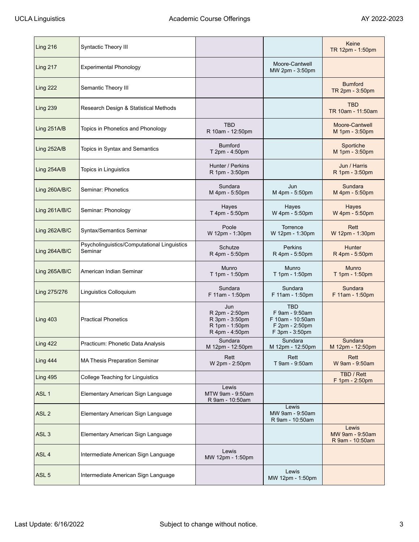| Ling 216         | Syntactic Theory III                                   |                                                                             |                                                                               | Keine<br>TR 12pm - 1:50pm                   |
|------------------|--------------------------------------------------------|-----------------------------------------------------------------------------|-------------------------------------------------------------------------------|---------------------------------------------|
| Ling 217         | <b>Experimental Phonology</b>                          |                                                                             | Moore-Cantwell<br>MW 2pm - 3:50pm                                             |                                             |
| Ling 222         | Semantic Theory III                                    |                                                                             |                                                                               | <b>Bumford</b><br>TR 2pm - 3:50pm           |
| Ling 239         | Research Design & Statistical Methods                  |                                                                             |                                                                               | <b>TBD</b><br>TR 10am - 11:50am             |
| Ling 251A/B      | Topics in Phonetics and Phonology                      | <b>TBD</b><br>R 10am - 12:50pm                                              |                                                                               | Moore-Cantwell<br>M 1pm - 3:50pm            |
| Ling 252A/B      | Topics in Syntax and Semantics                         | <b>Bumford</b><br>T 2pm - 4:50pm                                            |                                                                               | Sportiche<br>M 1pm - 3:50pm                 |
| Ling 254A/B      | Topics in Linguistics                                  | Hunter / Perkins<br>R 1pm - 3:50pm                                          |                                                                               | Jun / Harris<br>R 1pm - 3:50pm              |
| Ling 260A/B/C    | Seminar: Phonetics                                     | Sundara<br>M 4pm - 5:50pm                                                   | Jun<br>M 4pm - 5:50pm                                                         | Sundara<br>M 4pm - 5:50pm                   |
| Ling 261A/B/C    | Seminar: Phonology                                     | Hayes<br>T 4pm - 5:50pm                                                     | Hayes<br>W 4pm - 5:50pm                                                       | Hayes<br>W 4pm - 5:50pm                     |
| Ling 262A/B/C    | Syntax/Semantics Seminar                               | Poole<br>W 12pm - 1:30pm                                                    | Torrence<br>W 12pm - 1:30pm                                                   | Rett<br>W 12pm - 1:30pm                     |
| Ling 264A/B/C    | Psycholinguistics/Computational Linguistics<br>Seminar | Schutze<br>R 4pm - 5:50pm                                                   | Perkins<br>R 4pm - 5:50pm                                                     | Hunter<br>R 4pm - 5:50pm                    |
| Ling 265A/B/C    | American Indian Seminar                                | Munro<br>T 1pm - 1:50pm                                                     | Munro<br>T 1pm - 1:50pm                                                       | <b>Munro</b><br>T 1pm - 1:50pm              |
| Ling 275/276     | Linguistics Colloquium                                 | Sundara<br>F 11am - 1:50pm                                                  | Sundara<br>F 11am - 1:50pm                                                    | Sundara<br>F 11am - 1:50pm                  |
| Ling 403         | <b>Practical Phonetics</b>                             | Jun<br>R 2pm - 2:50pm<br>R 3pm - 3:50pm<br>R 1pm - 1:50pm<br>R 4pm - 4:50pm | TBD<br>F 9am - 9:50am<br>F 10am - 10:50am<br>F 2pm - 2:50pm<br>F 3pm - 3:50pm |                                             |
| <b>Ling 422</b>  | Practicum: Phonetic Data Analysis                      | Sundara<br>M 12pm - 12:50pm                                                 | Sundara<br>M 12pm - 12:50pm                                                   | Sundara<br>M 12pm - 12:50pm                 |
| Ling 444         | MA Thesis Preparation Seminar                          | Rett<br>W 2pm - 2:50pm                                                      | Rett<br>T 9am - 9:50am                                                        | Rett<br>W 9am - 9:50am                      |
| Ling 495         | College Teaching for Linguistics                       |                                                                             |                                                                               | TBD / Rett<br>F 1pm - 2:50pm                |
| ASL <sub>1</sub> | Elementary American Sign Language                      | Lewis<br>MTW 9am - 9:50am<br>R 9am - 10:50am                                |                                                                               |                                             |
| ASL <sub>2</sub> | Elementary American Sign Language                      |                                                                             | Lewis<br>MW 9am - 9:50am<br>R 9am - 10:50am                                   |                                             |
| ASL <sub>3</sub> | Elementary American Sign Language                      |                                                                             |                                                                               | Lewis<br>MW 9am - 9:50am<br>R 9am - 10:50am |
| ASL <sub>4</sub> | Intermediate American Sign Language                    | Lewis<br>MW 12pm - 1:50pm                                                   |                                                                               |                                             |
| ASL <sub>5</sub> | Intermediate American Sign Language                    |                                                                             | Lewis<br>MW 12pm - 1:50pm                                                     |                                             |